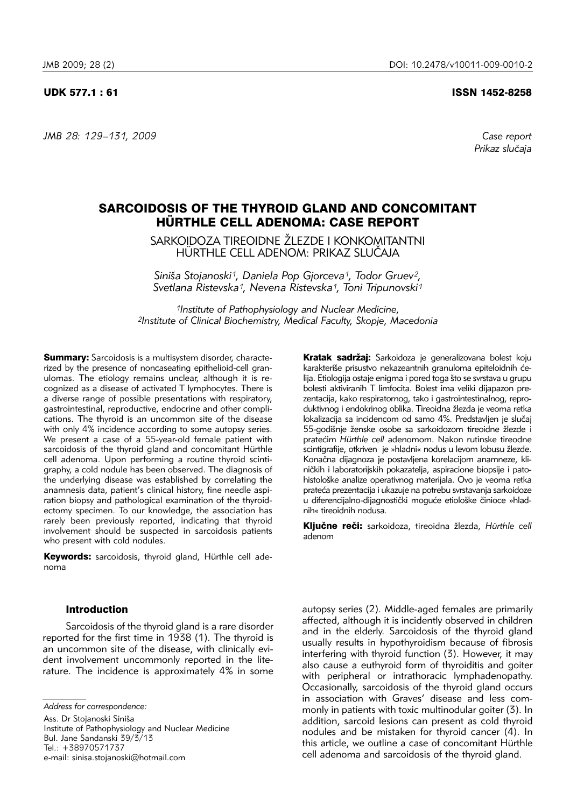*JMB 28: 129–131, 2009 Case report*

#### UDK 577.1 : 61 ISSN 1452-8258

Prikaz slučaja

# SARCOIDOSIS OF THE THYROID GLAND AND CONCOMITANT HÜRTHLE CELL ADENOMA: CASE REPORT

SARKOIDOZA TIREOIDNE ŽLEZDE I KONKOMITANTNI HÜRTHLE CELL ADENOM: PRIKAZ SLUČAJA

*Sini{a Stojanoski1, Daniela Pop Gjorceva1, Todor Gruev2, Svetlana Ristevska1, Nevena Ristevska1, Toni Tripunovski1*

*1Institute of Pathophysiology and Nuclear Medicine, 2Institute of Clinical Biochemistry, Medical Faculty, Skopje, Macedonia*

Summary: Sarcoidosis is a multisystem disorder, characterized by the presence of noncaseating epithelioid-cell granulomas. The etiology remains unclear, although it is recognized as a disease of activated T lymphocytes. There is a diverse range of possible presentations with respiratory, gastrointestinal, reproductive, endocrine and other complications. The thyroid is an uncommon site of the disease with only 4% incidence according to some autopsy series. We present a case of a 55-year-old female patient with sarcoidosis of the thyroid gland and concomitant Hürthle cell adenoma. Upon performing a routine thyroid scintigraphy, a cold nodule has been observed. The diagnosis of the underlying disease was established by correlating the anamnesis data, patient's clinical history, fine needle aspiration biopsy and pathological examination of the thyroidectomy specimen. To our knowledge, the association has rarely been previously reported, indicating that thyroid involvement should be suspected in sarcoidosis patients who present with cold nodules.

Keywords: sarcoidosis, thyroid gland, Hürthle cell adenoma

# Introduction

Sarcoidosis of the thyroid gland is a rare disorder reported for the first time in 1938 (1). The thyroid is an uncommon site of the disease, with clinically evident involvement uncommonly reported in the literature. The incidence is approximately 4% in some

Ass. Dr Stojanoski Siniša Institute of Pathophysiology and Nuclear Medicine Bul. Jane Sandanski 39/3/13 Tel.: +38970571737 e-mail: sinisa.stojanoski@hotmail.com

Kratak sadržaj: Sarkoidoza je generalizovana bolest koju karakteriše prisustvo nekazeantnih granuloma epiteloidnih ćelija. Etiologija ostaje enigma i pored toga što se svrstava u grupu bolesti aktiviranih T limfocita. Bolest ima veliki dijapazon prezentacija, kako respiratornog, tako i gastrointestinalnog, reproduktivnog i endokrinog oblika. Tireoidna žlezda je veoma retka lokalizacija sa incidencom od samo 4%. Predstavljen je slučaj 55-godišnje ženske osobe sa sarkoidozom tireoidne žlezde i pratećim *Hürthle cell* adenomom. Nakon rutinske tireodne scintigrafije, otkriven je »hladni« nodus u levom lobusu žlezde. Konačna dijagnoza je postavljena korelacijom anamneze, kliničkih i laboratorijskih pokazatelja, aspiracione biopsije i patohistološke analize operativnog materijala. Ovo je veoma retka prateća prezentacija i ukazuje na potrebu svrstavanja sarkoidoze u diferencijalno-dijagnostički moguće etiološke činioce »hladnih« tireoidnih nodusa.

Ključne reči: sarkoidoza, tireoidna žlezda, Hürthle cell adenom

autopsy series (2). Middle-aged females are primarily affected, although it is incidently observed in children and in the elderly. Sarcoidosis of the thyroid gland usually results in hypothyroidism because of fibrosis interfering with thyroid function (3). However, it may also cause a euthyroid form of thyroiditis and goiter with peripheral or intrathoracic lymphadenopathy. Occasionally, sarcoidosis of the thyroid gland occurs in association with Graves' disease and less commonly in patients with toxic multinodular goiter (3). In addition, sarcoid lesions can present as cold thyroid nodules and be mistaken for thyroid cancer (4). In this article, we outline a case of concomitant Hürthle cell adenoma and sarcoidosis of the thyroid gland.

*Address for correspondence:*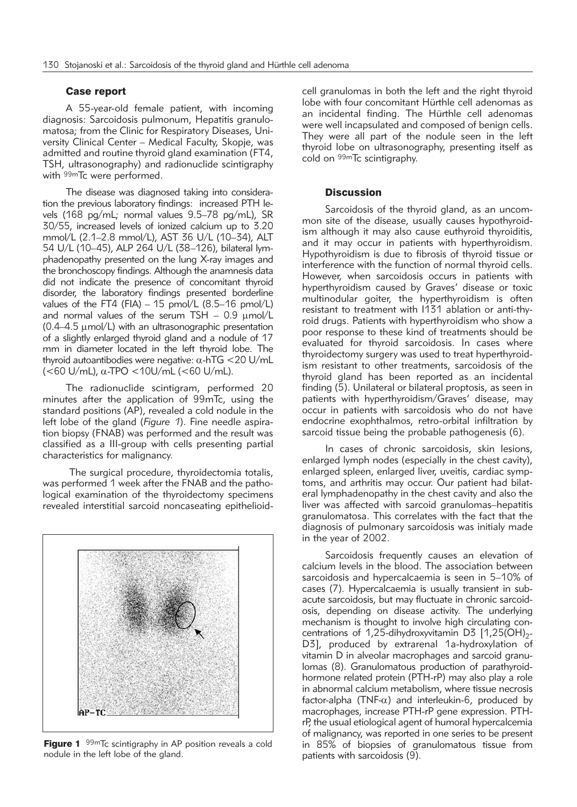### Case report

A 55-year-old female patient, with incoming diagnosis: Sarcoidosis pulmonum, Hepatitis granulomatosa; from the Clinic for Respiratory Diseases, University Clinical Center – Medical Faculty, Skopje, was admitted and routine thyroid gland examination (FT4, TSH, ultrasonography) and radionuclide scintigraphy with 99mTc were performed.

The disease was diagnosed taking into consideration the previous laboratory findings: increased PTH levels (168 pg/mL; normal values 9.5–78 pg/mL), SR 30/55, increased levels of ionized calcium up to 3.20 mmol/L (2.1–2.8 mmol/L), AST 36 U/L (10–34), ALT 54 U/L (10-45), ALP 264 U/L (38-126), bilateral lymphadenopathy presented on the lung X-ray images and the bronchoscopy findings. Although the anamnesis data did not indicate the presence of concomitant thyroid disorder, the laboratory findings presented borderline values of the FT4 (FIA)  $-$  15 pmol/L (8.5–16 pmol/L) and normal values of the serum TSH –  $0.9 \mu$ mol/L  $(0.4–4.5 \mu \text{mol/L})$  with an ultrasonographic presentation of a slightly enlarged thyroid gland and a nodule of 17 mm in diameter located in the left thyroid lobe. The thyroid autoantibodies were negative:  $\alpha$ -hTG <20 U/mL (<60 U/mL),  $\alpha$ -TPO <10U/mL (<60 U/mL).

The radionuclide scintigram, performed 20 minutes after the application of 99mTc, using the standard positions (AP), revealed a cold nodule in the left lobe of the gland (*Figure 1*). Fine needle aspiration biopsy (FNAB) was performed and the result was classified as a III-group with cells presenting partial characteristics for malignancy.

The surgical procedure, thyroidectomia totalis, was performed 1 week after the FNAB and the pathological examination of the thyroidectomy specimens revealed interstitial sarcoid noncaseating epithelioid-



**Figure 1** 99<sup>m</sup>Tc scintigraphy in AP position reveals a cold nodule in the left lobe of the gland.

cell granulomas in both the left and the right thyroid lobe with four concomitant Hürthle cell adenomas as an incidental finding. The Hürthle cell adenomas were well incapsulated and composed of benign cells. They were all part of the nodule seen in the left thyroid lobe on ultrasonography, presenting itself as cold on <sup>99m</sup>Tc scintigraphy.

# **Discussion**

Sarcoidosis of the thyroid gland, as an uncommon site of the disease, usually causes hypothyroidism although it may also cause euthyroid thyroiditis, and it may occur in patients with hyperthyroidism. Hypothyroidism is due to fibrosis of thyroid tissue or interference with the function of normal thyroid cells. However, when sarcoidosis occurs in patients with hyperthyroidism caused by Graves' disease or toxic multinodular goiter, the hyperthyroidism is often resistant to treatment with 1131 ablation or anti-thyroid drugs. Patients with hyperthyroidism who show a poor response to these kind of treatments should be evaluated for thyroid sarcoidosis. In cases where thyroidectomy surgery was used to treat hyperthyroidism resistant to other treatments, sarcoidosis of the thyroid gland has been reported as an incidental finding (5). Unilateral or bilateral proptosis, as seen in patients with hyperthyroidism/Graves' disease, may occur in patients with sarcoidosis who do not have endocrine exophthalmos, retro-orbital infiltration by sarcoid tissue being the probable pathogenesis (6).

In cases of chronic sarcoidosis, skin lesions, enlarged lymph nodes (especially in the chest cavity), enlarged spleen, enlarged liver, uveitis, cardiac symptoms, and arthritis may occur. Our patient had bilateral lymphadenopathy in the chest cavity and also the liver was affected with sarcoid granulomas–hepatitis granulomatosa. This correlates with the fact that the diagnosis of pulmonary sarcoidosis was initialy made in the year of 2002.

Sarcoidosis frequently causes an elevation of calcium levels in the blood. The association between sarcoidosis and hypercalcaemia is seen in 5–10% of cases (7). Hypercalcaemia is usually transient in subacute sarcoidosis, but may fluctuate in chronic sarcoidosis, depending on disease activity. The underlying mechanism is thought to involve high circulating concentrations of 1,25-dihydroxyvitamin D3  $[1,25(OH)<sub>2</sub>-$ D3], produced by extrarenal 1a-hydroxylation of vitamin D in alveolar macrophages and sarcoid granulomas (8). Granulomatous production of parathyroidhormone related protein (PTH-rP) may also play a role in abnormal calcium metabolism, where tissue necrosis factor-alpha (TNF- $\alpha$ ) and interleukin-6, produced by macrophages, increase PTH-rP gene expression. PTHrP, the usual etiological agent of humoral hypercalcemia of malignancy, was reported in one series to be present in 85% of biopsies of granulomatous tissue from patients with sarcoidosis (9).